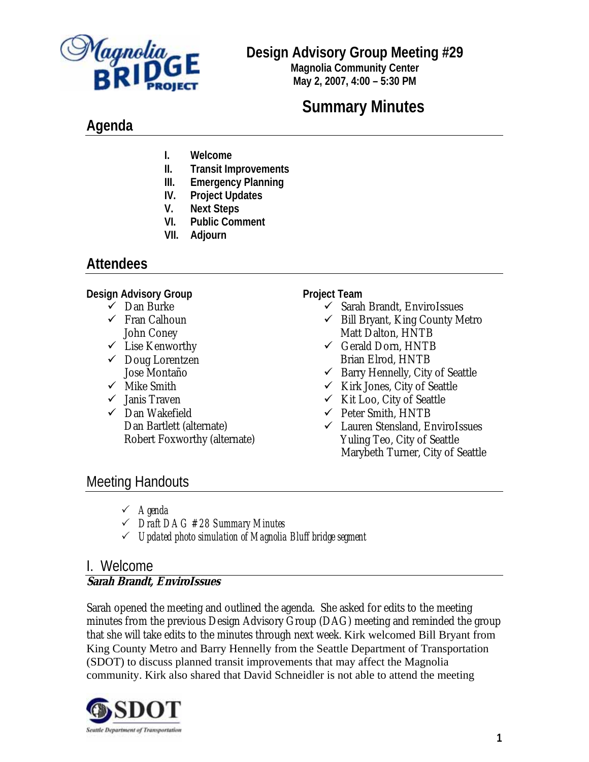

## **Design Advisory Group Meeting #29**

**Magnolia Community Center May 2, 2007, 4:00 – 5:30 PM**

# **Summary Minutes**

# **Agenda**

- **I. Welcome**
- **II. Transit Improvements**
- **III. Emergency Planning**
- **IV. Project Updates**
- **V. Next Steps**
- **VI. Public Comment**
- **VII. Adjourn**

## **Attendees**

### **Design Advisory Group**

- $\checkmark$  Dan Burke
- $\checkmark$  Fran Calhoun John Coney
- $\checkmark$  Lise Kenworthy
- $\checkmark$  Doug Lorentzen Jose Montaño
- $\checkmark$  Mike Smith
- $\checkmark$  Janis Traven
- $\checkmark$  Dan Wakefield Dan Bartlett (alternate) Robert Foxworthy (alternate)

### **Project Team**

- $\checkmark$  Sarah Brandt, EnviroIssues
- $\checkmark$  Bill Bryant, King County Metro Matt Dalton, HNTB
- $\checkmark$  Gerald Dorn, HNTB Brian Elrod, HNTB
- $\checkmark$  Barry Hennelly, City of Seattle
- $\checkmark$  Kirk Jones, City of Seattle
- $\checkmark$  Kit Loo, City of Seattle
- $\checkmark$  Peter Smith, HNTB
- $\checkmark$  Lauren Stensland, EnviroIssues Yuling Teo, City of Seattle Marybeth Turner, City of Seattle

# Meeting Handouts

- 3 *Agenda*
- 3 *Draft DAG #28 Summary Minutes*
- 3 *Updated photo simulation of Magnolia Bluff bridge segment*

## I. Welcome

## **Sarah Brandt, EnviroIssues**

Sarah opened the meeting and outlined the agenda. She asked for edits to the meeting minutes from the previous Design Advisory Group (DAG) meeting and reminded the group that she will take edits to the minutes through next week. Kirk welcomed Bill Bryant from King County Metro and Barry Hennelly from the Seattle Department of Transportation (SDOT) to discuss planned transit improvements that may affect the Magnolia community. Kirk also shared that David Schneidler is not able to attend the meeting

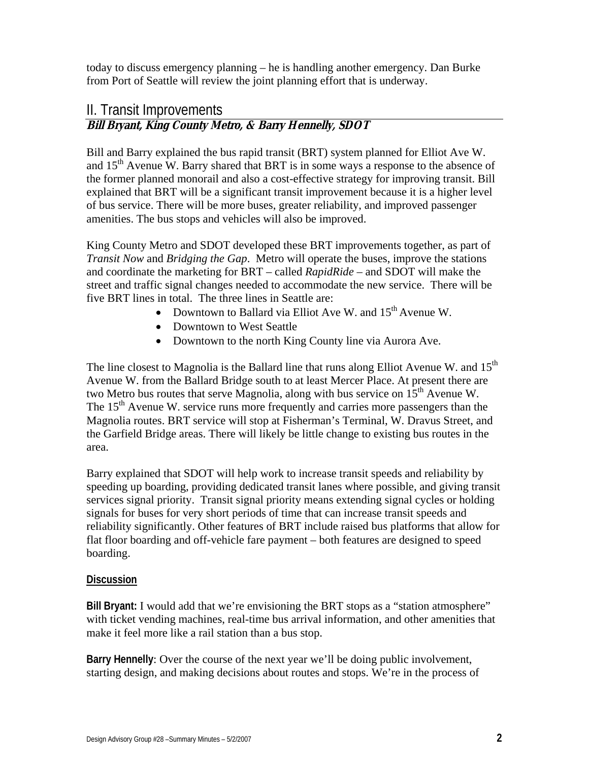today to discuss emergency planning – he is handling another emergency. Dan Burke from Port of Seattle will review the joint planning effort that is underway.

## II. Transit Improvements **Bill Bryant, King County Metro, & Barry Hennelly, SDOT**

Bill and Barry explained the bus rapid transit (BRT) system planned for Elliot Ave W. and 15<sup>th</sup> Avenue W. Barry shared that BRT is in some ways a response to the absence of the former planned monorail and also a cost-effective strategy for improving transit. Bill explained that BRT will be a significant transit improvement because it is a higher level of bus service. There will be more buses, greater reliability, and improved passenger amenities. The bus stops and vehicles will also be improved.

King County Metro and SDOT developed these BRT improvements together, as part of *Transit Now* and *Bridging the Gap*. Metro will operate the buses, improve the stations and coordinate the marketing for BRT – called *RapidRide* – and SDOT will make the street and traffic signal changes needed to accommodate the new service. There will be five BRT lines in total. The three lines in Seattle are:

- Downtown to Ballard via Elliot Ave W. and  $15<sup>th</sup>$  Avenue W.
- Downtown to West Seattle
- Downtown to the north King County line via Aurora Ave.

The line closest to Magnolia is the Ballard line that runs along Elliot Avenue W. and  $15<sup>th</sup>$ Avenue W. from the Ballard Bridge south to at least Mercer Place. At present there are two Metro bus routes that serve Magnolia, along with bus service on  $15<sup>th</sup>$  Avenue W. The  $15<sup>th</sup>$  Avenue W. service runs more frequently and carries more passengers than the Magnolia routes. BRT service will stop at Fisherman's Terminal, W. Dravus Street, and the Garfield Bridge areas. There will likely be little change to existing bus routes in the area.

Barry explained that SDOT will help work to increase transit speeds and reliability by speeding up boarding, providing dedicated transit lanes where possible, and giving transit services signal priority. Transit signal priority means extending signal cycles or holding signals for buses for very short periods of time that can increase transit speeds and reliability significantly. Other features of BRT include raised bus platforms that allow for flat floor boarding and off-vehicle fare payment – both features are designed to speed boarding.

### **Discussion**

**Bill Bryant:** I would add that we're envisioning the BRT stops as a "station atmosphere" with ticket vending machines, real-time bus arrival information, and other amenities that make it feel more like a rail station than a bus stop.

**Barry Hennelly**: Over the course of the next year we'll be doing public involvement, starting design, and making decisions about routes and stops. We're in the process of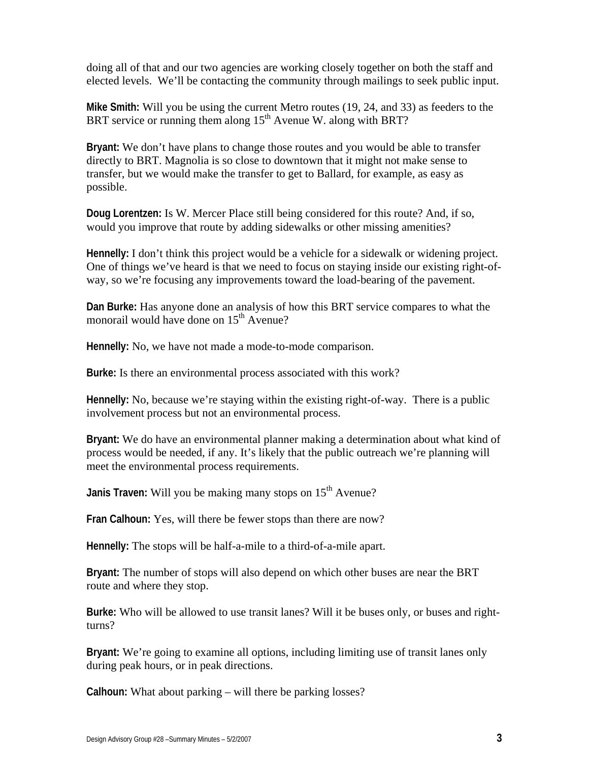doing all of that and our two agencies are working closely together on both the staff and elected levels. We'll be contacting the community through mailings to seek public input.

**Mike Smith:** Will you be using the current Metro routes (19, 24, and 33) as feeders to the BRT service or running them along 15<sup>th</sup> Avenue W. along with BRT?

**Bryant:** We don't have plans to change those routes and you would be able to transfer directly to BRT. Magnolia is so close to downtown that it might not make sense to transfer, but we would make the transfer to get to Ballard, for example, as easy as possible.

**Doug Lorentzen:** Is W. Mercer Place still being considered for this route? And, if so, would you improve that route by adding sidewalks or other missing amenities?

**Hennelly:** I don't think this project would be a vehicle for a sidewalk or widening project. One of things we've heard is that we need to focus on staying inside our existing right-ofway, so we're focusing any improvements toward the load-bearing of the pavement.

**Dan Burke:** Has anyone done an analysis of how this BRT service compares to what the monorail would have done on 15<sup>th</sup> Avenue?

**Hennelly:** No, we have not made a mode-to-mode comparison.

**Burke:** Is there an environmental process associated with this work?

**Hennelly:** No, because we're staying within the existing right-of-way. There is a public involvement process but not an environmental process.

**Bryant:** We do have an environmental planner making a determination about what kind of process would be needed, if any. It's likely that the public outreach we're planning will meet the environmental process requirements.

**Janis Traven:** Will you be making many stops on 15<sup>th</sup> Avenue?

**Fran Calhoun:** Yes, will there be fewer stops than there are now?

**Hennelly:** The stops will be half-a-mile to a third-of-a-mile apart.

**Bryant:** The number of stops will also depend on which other buses are near the BRT route and where they stop.

**Burke:** Who will be allowed to use transit lanes? Will it be buses only, or buses and rightturns?

**Bryant:** We're going to examine all options, including limiting use of transit lanes only during peak hours, or in peak directions.

**Calhoun:** What about parking – will there be parking losses?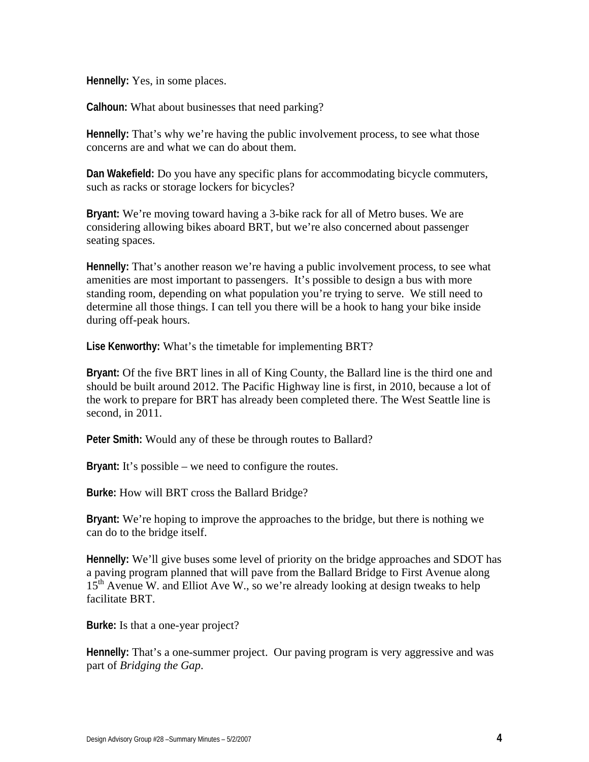**Hennelly:** Yes, in some places.

**Calhoun:** What about businesses that need parking?

**Hennelly:** That's why we're having the public involvement process, to see what those concerns are and what we can do about them.

**Dan Wakefield:** Do you have any specific plans for accommodating bicycle commuters, such as racks or storage lockers for bicycles?

**Bryant:** We're moving toward having a 3-bike rack for all of Metro buses. We are considering allowing bikes aboard BRT, but we're also concerned about passenger seating spaces.

**Hennelly:** That's another reason we're having a public involvement process, to see what amenities are most important to passengers. It's possible to design a bus with more standing room, depending on what population you're trying to serve. We still need to determine all those things. I can tell you there will be a hook to hang your bike inside during off-peak hours.

**Lise Kenworthy:** What's the timetable for implementing BRT?

**Bryant:** Of the five BRT lines in all of King County, the Ballard line is the third one and should be built around 2012. The Pacific Highway line is first, in 2010, because a lot of the work to prepare for BRT has already been completed there. The West Seattle line is second, in 2011.

**Peter Smith:** Would any of these be through routes to Ballard?

**Bryant:** It's possible – we need to configure the routes.

**Burke:** How will BRT cross the Ballard Bridge?

**Bryant:** We're hoping to improve the approaches to the bridge, but there is nothing we can do to the bridge itself.

**Hennelly:** We'll give buses some level of priority on the bridge approaches and SDOT has a paving program planned that will pave from the Ballard Bridge to First Avenue along  $15<sup>th</sup>$  Avenue W. and Elliot Ave W., so we're already looking at design tweaks to help facilitate BRT.

**Burke:** Is that a one-year project?

**Hennelly:** That's a one-summer project. Our paving program is very aggressive and was part of *Bridging the Gap*.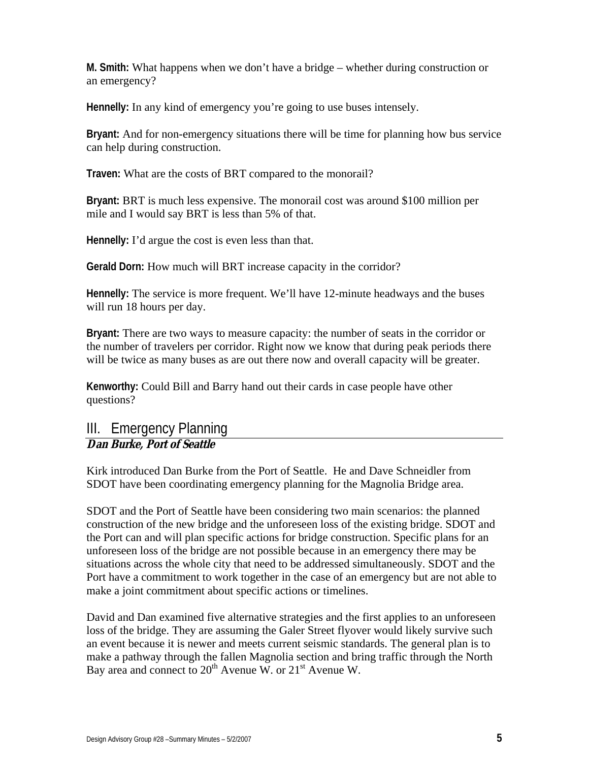**M. Smith:** What happens when we don't have a bridge – whether during construction or an emergency?

**Hennelly:** In any kind of emergency you're going to use buses intensely.

**Bryant:** And for non-emergency situations there will be time for planning how bus service can help during construction.

**Traven:** What are the costs of BRT compared to the monorail?

**Bryant:** BRT is much less expensive. The monorail cost was around \$100 million per mile and I would say BRT is less than 5% of that.

**Hennelly:** I'd argue the cost is even less than that.

**Gerald Dorn:** How much will BRT increase capacity in the corridor?

**Hennelly:** The service is more frequent. We'll have 12-minute headways and the buses will run 18 hours per day.

**Bryant:** There are two ways to measure capacity: the number of seats in the corridor or the number of travelers per corridor. Right now we know that during peak periods there will be twice as many buses as are out there now and overall capacity will be greater.

**Kenworthy:** Could Bill and Barry hand out their cards in case people have other questions?

## III. Emergency Planning **Dan Burke, Port of Seattle**

Kirk introduced Dan Burke from the Port of Seattle. He and Dave Schneidler from SDOT have been coordinating emergency planning for the Magnolia Bridge area.

SDOT and the Port of Seattle have been considering two main scenarios: the planned construction of the new bridge and the unforeseen loss of the existing bridge. SDOT and the Port can and will plan specific actions for bridge construction. Specific plans for an unforeseen loss of the bridge are not possible because in an emergency there may be situations across the whole city that need to be addressed simultaneously. SDOT and the Port have a commitment to work together in the case of an emergency but are not able to make a joint commitment about specific actions or timelines.

David and Dan examined five alternative strategies and the first applies to an unforeseen loss of the bridge. They are assuming the Galer Street flyover would likely survive such an event because it is newer and meets current seismic standards. The general plan is to make a pathway through the fallen Magnolia section and bring traffic through the North Bay area and connect to  $20^{th}$  Avenue W. or  $21^{st}$  Avenue W.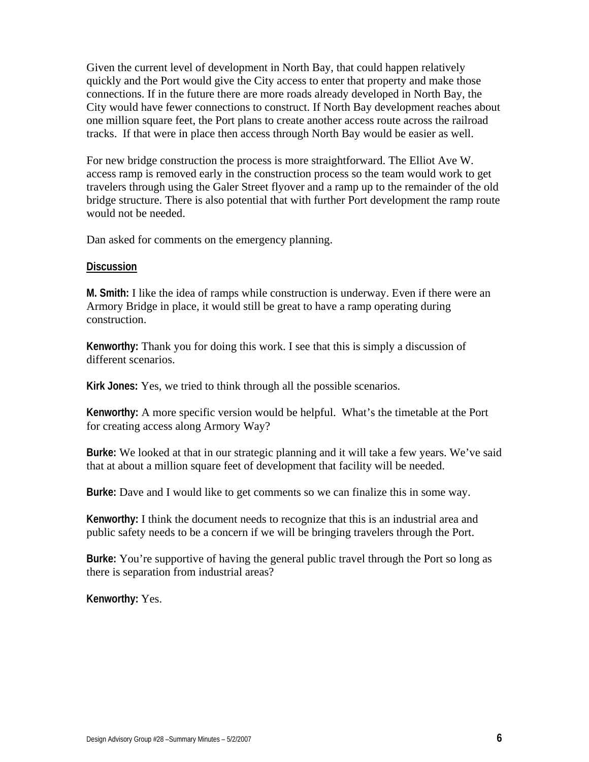Given the current level of development in North Bay, that could happen relatively quickly and the Port would give the City access to enter that property and make those connections. If in the future there are more roads already developed in North Bay, the City would have fewer connections to construct. If North Bay development reaches about one million square feet, the Port plans to create another access route across the railroad tracks. If that were in place then access through North Bay would be easier as well.

For new bridge construction the process is more straightforward. The Elliot Ave W. access ramp is removed early in the construction process so the team would work to get travelers through using the Galer Street flyover and a ramp up to the remainder of the old bridge structure. There is also potential that with further Port development the ramp route would not be needed.

Dan asked for comments on the emergency planning.

#### **Discussion**

**M. Smith:** I like the idea of ramps while construction is underway. Even if there were an Armory Bridge in place, it would still be great to have a ramp operating during construction.

**Kenworthy:** Thank you for doing this work. I see that this is simply a discussion of different scenarios.

**Kirk Jones:** Yes, we tried to think through all the possible scenarios.

**Kenworthy:** A more specific version would be helpful. What's the timetable at the Port for creating access along Armory Way?

**Burke:** We looked at that in our strategic planning and it will take a few years. We've said that at about a million square feet of development that facility will be needed.

**Burke:** Dave and I would like to get comments so we can finalize this in some way.

**Kenworthy:** I think the document needs to recognize that this is an industrial area and public safety needs to be a concern if we will be bringing travelers through the Port.

**Burke:** You're supportive of having the general public travel through the Port so long as there is separation from industrial areas?

**Kenworthy:** Yes.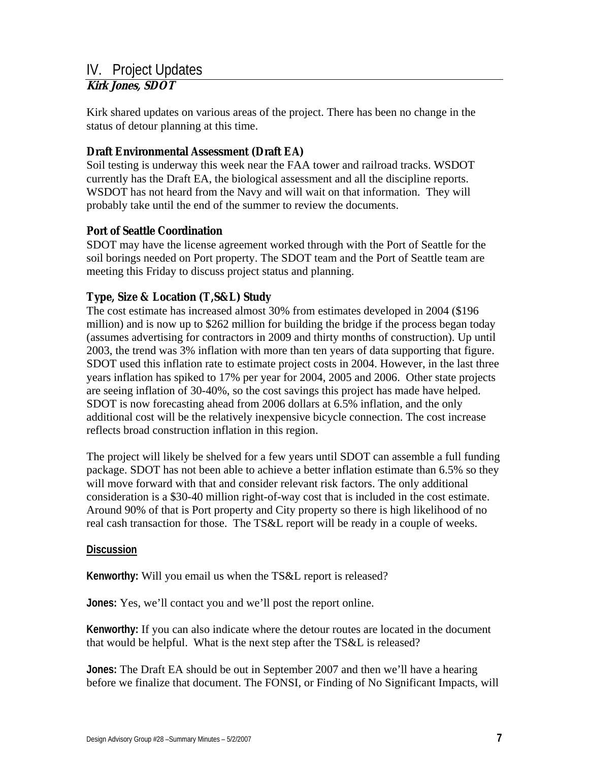# IV. Project Updates

## **Kirk Jones, SDOT**

Kirk shared updates on various areas of the project. There has been no change in the status of detour planning at this time.

## **Draft Environmental Assessment (Draft EA)**

Soil testing is underway this week near the FAA tower and railroad tracks. WSDOT currently has the Draft EA, the biological assessment and all the discipline reports. WSDOT has not heard from the Navy and will wait on that information. They will probably take until the end of the summer to review the documents.

### **Port of Seattle Coordination**

SDOT may have the license agreement worked through with the Port of Seattle for the soil borings needed on Port property. The SDOT team and the Port of Seattle team are meeting this Friday to discuss project status and planning.

## **Type, Size & Location (T,S&L) Study**

The cost estimate has increased almost 30% from estimates developed in 2004 (\$196 million) and is now up to \$262 million for building the bridge if the process began today (assumes advertising for contractors in 2009 and thirty months of construction). Up until 2003, the trend was 3% inflation with more than ten years of data supporting that figure. SDOT used this inflation rate to estimate project costs in 2004. However, in the last three years inflation has spiked to 17% per year for 2004, 2005 and 2006. Other state projects are seeing inflation of 30-40%, so the cost savings this project has made have helped. SDOT is now forecasting ahead from 2006 dollars at 6.5% inflation, and the only additional cost will be the relatively inexpensive bicycle connection. The cost increase reflects broad construction inflation in this region.

The project will likely be shelved for a few years until SDOT can assemble a full funding package. SDOT has not been able to achieve a better inflation estimate than 6.5% so they will move forward with that and consider relevant risk factors. The only additional consideration is a \$30-40 million right-of-way cost that is included in the cost estimate. Around 90% of that is Port property and City property so there is high likelihood of no real cash transaction for those. The TS&L report will be ready in a couple of weeks.

#### **Discussion**

**Kenworthy:** Will you email us when the TS&L report is released?

**Jones:** Yes, we'll contact you and we'll post the report online.

**Kenworthy:** If you can also indicate where the detour routes are located in the document that would be helpful. What is the next step after the TS&L is released?

**Jones:** The Draft EA should be out in September 2007 and then we'll have a hearing before we finalize that document. The FONSI, or Finding of No Significant Impacts, will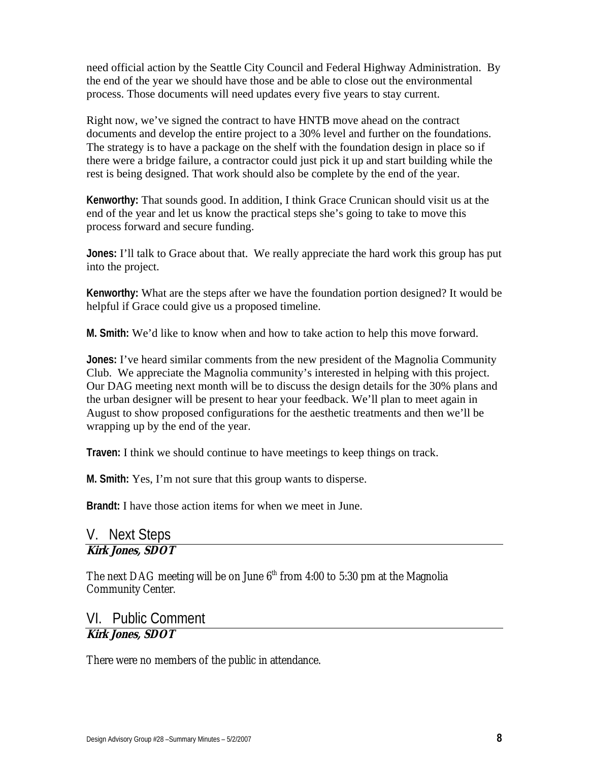need official action by the Seattle City Council and Federal Highway Administration. By the end of the year we should have those and be able to close out the environmental process. Those documents will need updates every five years to stay current.

Right now, we've signed the contract to have HNTB move ahead on the contract documents and develop the entire project to a 30% level and further on the foundations. The strategy is to have a package on the shelf with the foundation design in place so if there were a bridge failure, a contractor could just pick it up and start building while the rest is being designed. That work should also be complete by the end of the year.

**Kenworthy:** That sounds good. In addition, I think Grace Crunican should visit us at the end of the year and let us know the practical steps she's going to take to move this process forward and secure funding.

**Jones:** I'll talk to Grace about that. We really appreciate the hard work this group has put into the project.

**Kenworthy:** What are the steps after we have the foundation portion designed? It would be helpful if Grace could give us a proposed timeline.

**M. Smith:** We'd like to know when and how to take action to help this move forward.

**Jones:** I've heard similar comments from the new president of the Magnolia Community Club. We appreciate the Magnolia community's interested in helping with this project. Our DAG meeting next month will be to discuss the design details for the 30% plans and the urban designer will be present to hear your feedback. We'll plan to meet again in August to show proposed configurations for the aesthetic treatments and then we'll be wrapping up by the end of the year.

**Traven:** I think we should continue to have meetings to keep things on track.

**M. Smith:** Yes, I'm not sure that this group wants to disperse.

**Brandt:** I have those action items for when we meet in June.

## V. Next Steps **Kirk Jones, SDOT**

The next DAG meeting will be on June  $6<sup>th</sup>$  from 4:00 to 5:30 pm at the Magnolia Community Center.

# VI. Public Comment

## **Kirk Jones, SDOT**

There were no members of the public in attendance.